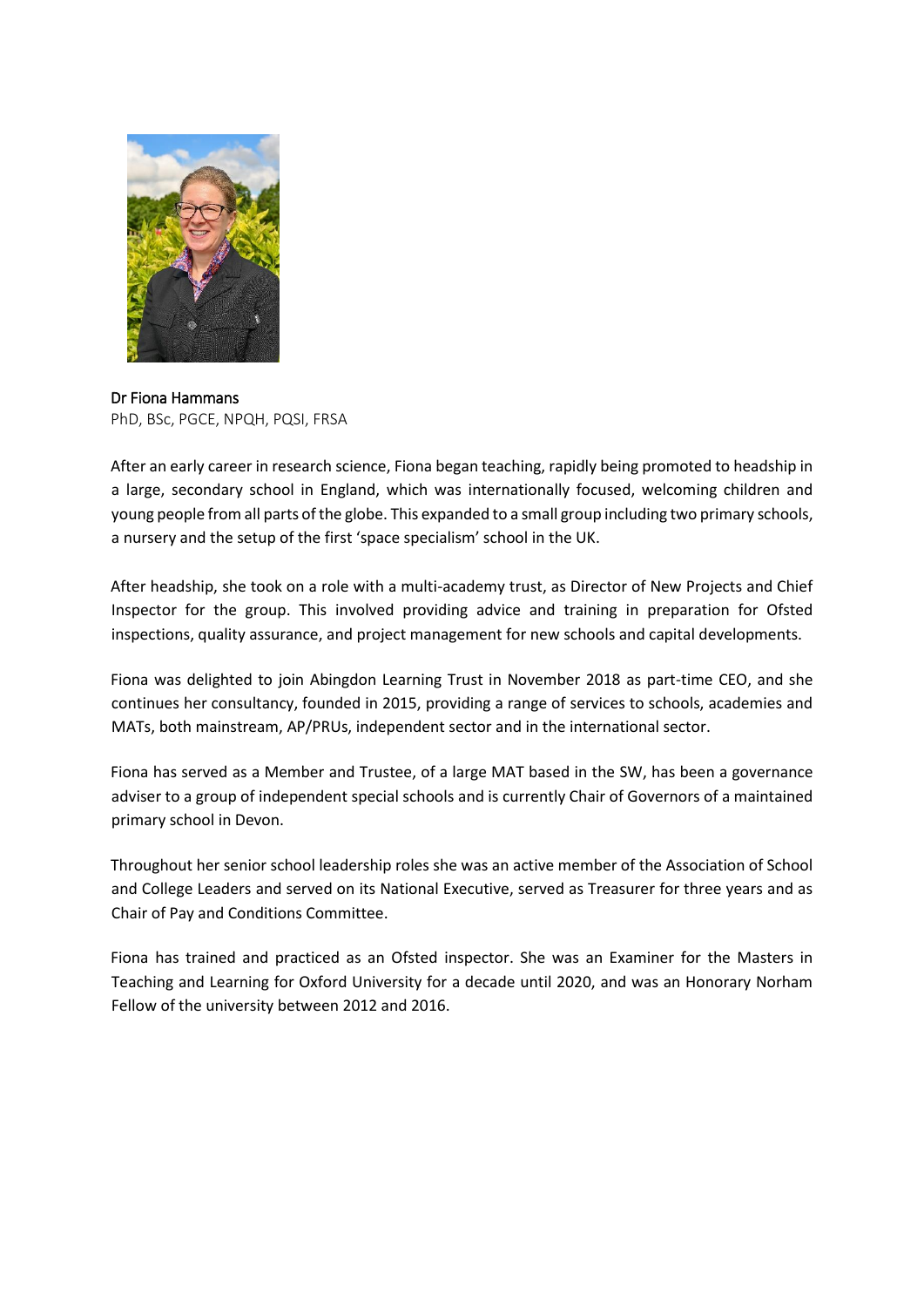

Dr Fiona Hammans PhD, BSc, PGCE, NPQH, PQSI, FRSA

After an early career in research science, Fiona began teaching, rapidly being promoted to headship in a large, secondary school in England, which was internationally focused, welcoming children and young people from all parts of the globe. This expanded to a small group including two primary schools, a nursery and the setup of the first 'space specialism' school in the UK.

After headship, she took on a role with a multi-academy trust, as Director of New Projects and Chief Inspector for the group. This involved providing advice and training in preparation for Ofsted inspections, quality assurance, and project management for new schools and capital developments.

Fiona was delighted to join Abingdon Learning Trust in November 2018 as part-time CEO, and she continues her consultancy, founded in 2015, providing a range of services to schools, academies and MATs, both mainstream, AP/PRUs, independent sector and in the international sector.

Fiona has served as a Member and Trustee, of a large MAT based in the SW, has been a governance adviser to a group of independent special schools and is currently Chair of Governors of a maintained primary school in Devon.

Throughout her senior school leadership roles she was an active member of the Association of School and College Leaders and served on its National Executive, served as Treasurer for three years and as Chair of Pay and Conditions Committee.

Fiona has trained and practiced as an Ofsted inspector. She was an Examiner for the Masters in Teaching and Learning for Oxford University for a decade until 2020, and was an Honorary Norham Fellow of the university between 2012 and 2016.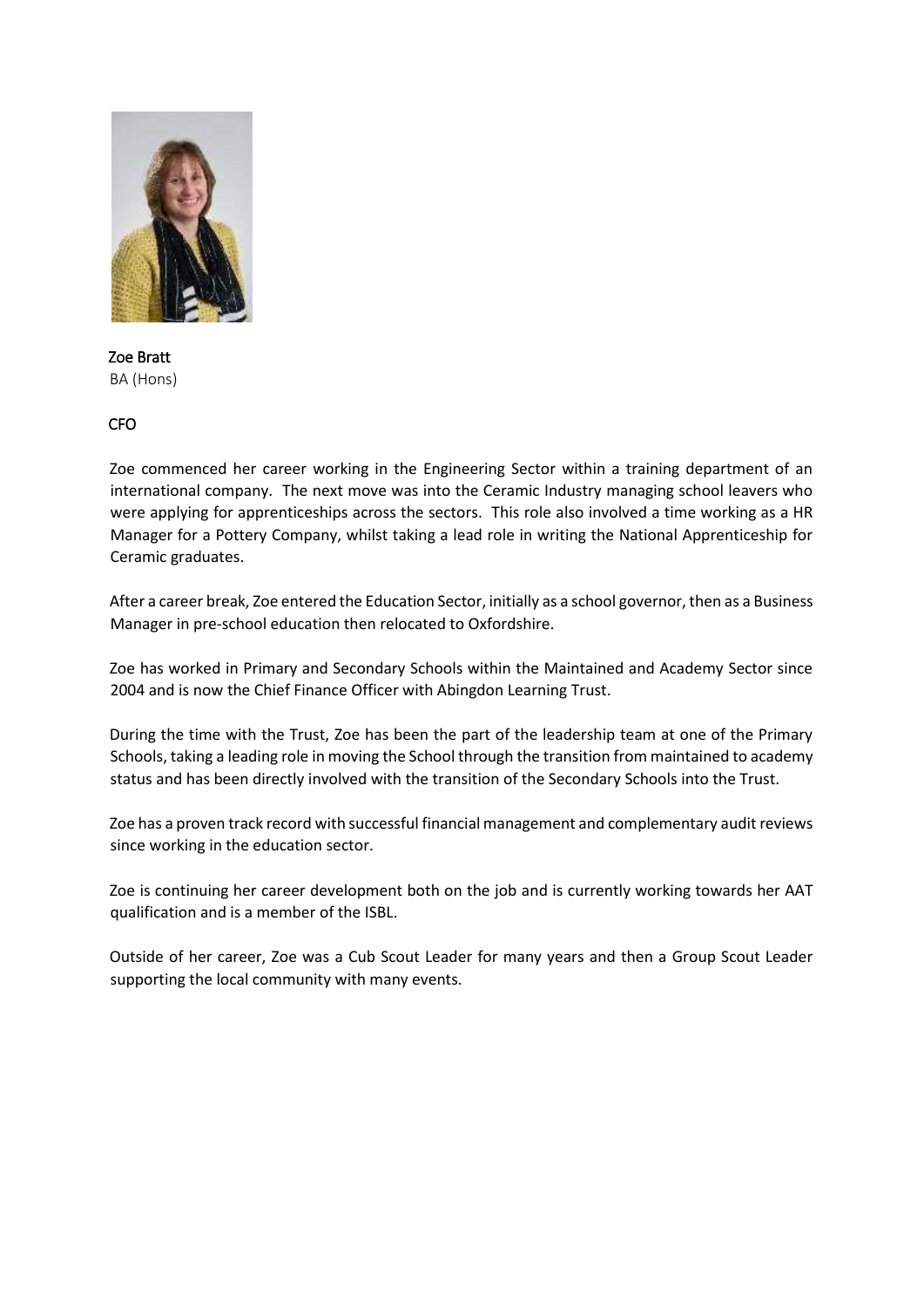

Zoe Bratt BA (Hons)

## CFO

Zoe commenced her career working in the Engineering Sector within a training department of an international company. The next move was into the Ceramic Industry managing school leavers who were applying for apprenticeships across the sectors. This role also involved a time working as a HR Manager for a Pottery Company, whilst taking a lead role in writing the National Apprenticeship for Ceramic graduates.

After a career break, Zoe entered the Education Sector, initially as a school governor, then as a Business Manager in pre-school education then relocated to Oxfordshire.

Zoe has worked in Primary and Secondary Schools within the Maintained and Academy Sector since 2004 and is now the Chief Finance Officer with Abingdon Learning Trust.

During the time with the Trust, Zoe has been the part of the leadership team at one of the Primary Schools, taking a leading role in moving the School through the transition from maintained to academy status and has been directly involved with the transition of the Secondary Schools into the Trust.

Zoe has a proven track record with successful financial management and complementary audit reviews since working in the education sector.

Zoe is continuing her career development both on the job and is currently working towards her AAT qualification and is a member of the ISBL.

Outside of her career, Zoe was a Cub Scout Leader for many years and then a Group Scout Leader supporting the local community with many events.